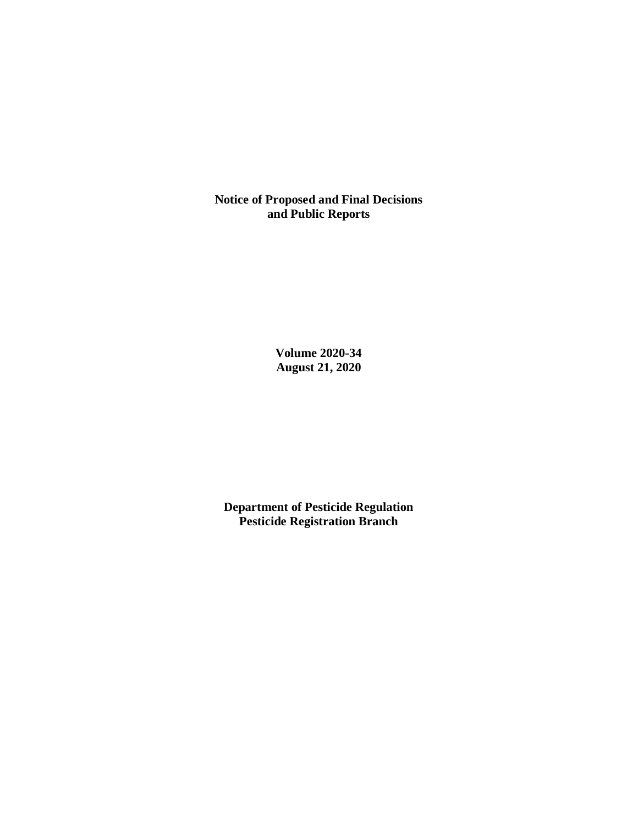**Notice of Proposed and Final Decisions and Public Reports**

> **Volume 2020-34 August 21, 2020**

**Department of Pesticide Regulation Pesticide Registration Branch**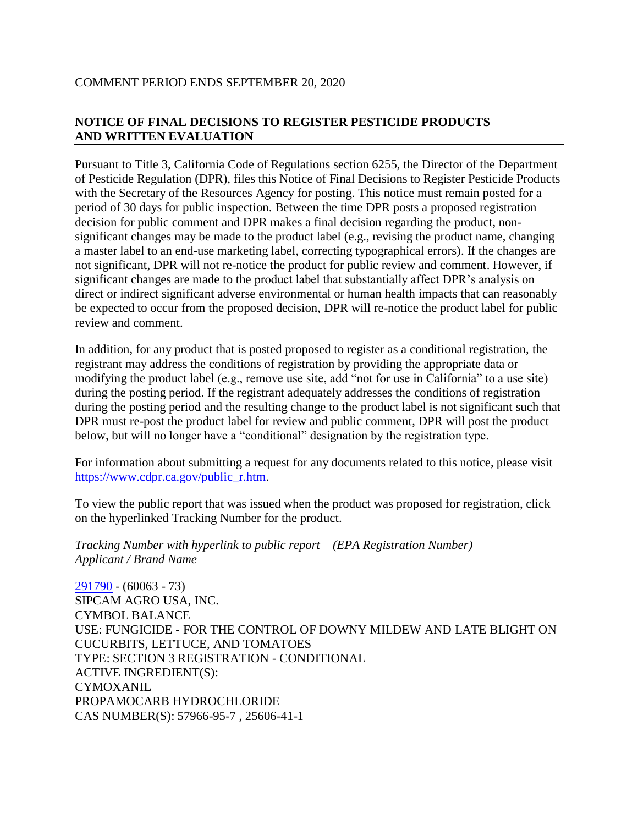## COMMENT PERIOD ENDS SEPTEMBER 20, 2020

# **NOTICE OF FINAL DECISIONS TO REGISTER PESTICIDE PRODUCTS AND WRITTEN EVALUATION**

Pursuant to Title 3, California Code of Regulations section 6255, the Director of the Department of Pesticide Regulation (DPR), files this Notice of Final Decisions to Register Pesticide Products with the Secretary of the Resources Agency for posting. This notice must remain posted for a period of 30 days for public inspection. Between the time DPR posts a proposed registration decision for public comment and DPR makes a final decision regarding the product, nonsignificant changes may be made to the product label (e.g., revising the product name, changing a master label to an end-use marketing label, correcting typographical errors). If the changes are not significant, DPR will not re-notice the product for public review and comment. However, if significant changes are made to the product label that substantially affect DPR's analysis on direct or indirect significant adverse environmental or human health impacts that can reasonably be expected to occur from the proposed decision, DPR will re-notice the product label for public review and comment.

In addition, for any product that is posted proposed to register as a conditional registration, the registrant may address the conditions of registration by providing the appropriate data or modifying the product label (e.g., remove use site, add "not for use in California" to a use site) during the posting period. If the registrant adequately addresses the conditions of registration during the posting period and the resulting change to the product label is not significant such that DPR must re-post the product label for review and public comment, DPR will post the product below, but will no longer have a "conditional" designation by the registration type.

For information about submitting a request for any documents related to this notice, please visit [https://www.cdpr.ca.gov/public\\_r.htm.](https://www.cdpr.ca.gov/public_r.htm)

To view the public report that was issued when the product was proposed for registration, click on the hyperlinked Tracking Number for the product.

*Tracking Number with hyperlink to public report – (EPA Registration Number) Applicant / Brand Name*

[291790](https://www.cdpr.ca.gov/docs/registration/nod/public_reports/291790.pdf) - (60063 - 73) SIPCAM AGRO USA, INC. CYMBOL BALANCE USE: FUNGICIDE - FOR THE CONTROL OF DOWNY MILDEW AND LATE BLIGHT ON CUCURBITS, LETTUCE, AND TOMATOES TYPE: SECTION 3 REGISTRATION - CONDITIONAL ACTIVE INGREDIENT(S): **CYMOXANIL** PROPAMOCARB HYDROCHLORIDE CAS NUMBER(S): 57966-95-7 , 25606-41-1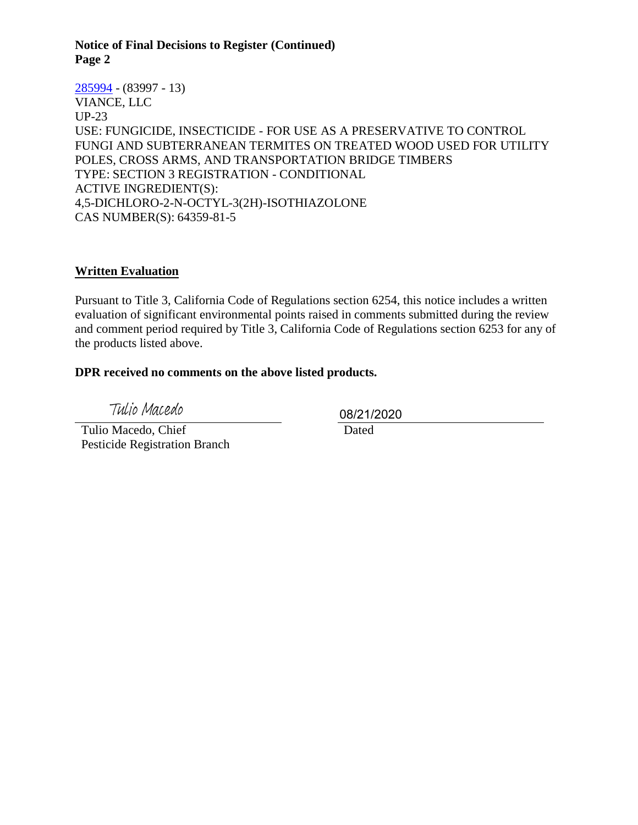#### **Notice of Final Decisions to Register (Continued) Page 2**

[285994](https://www.cdpr.ca.gov/docs/registration/nod/public_reports/285994.pdf) - (83997 - 13) VIANCE, LLC UP-23 USE: FUNGICIDE, INSECTICIDE - FOR USE AS A PRESERVATIVE TO CONTROL FUNGI AND SUBTERRANEAN TERMITES ON TREATED WOOD USED FOR UTILITY POLES, CROSS ARMS, AND TRANSPORTATION BRIDGE TIMBERS TYPE: SECTION 3 REGISTRATION - CONDITIONAL ACTIVE INGREDIENT(S): 4,5-DICHLORO-2-N-OCTYL-3(2H)-ISOTHIAZOLONE CAS NUMBER(S): 64359-81-5

### **Written Evaluation**

Pursuant to Title 3, California Code of Regulations section 6254, this notice includes a written evaluation of significant environmental points raised in comments submitted during the review and comment period required by Title 3, California Code of Regulations section 6253 for any of the products listed above.

### **DPR received no comments on the above listed products.**

Tulio Macedo

 Tulio Macedo, Chief Pesticide Registration Branch 08/21/2020

Dated